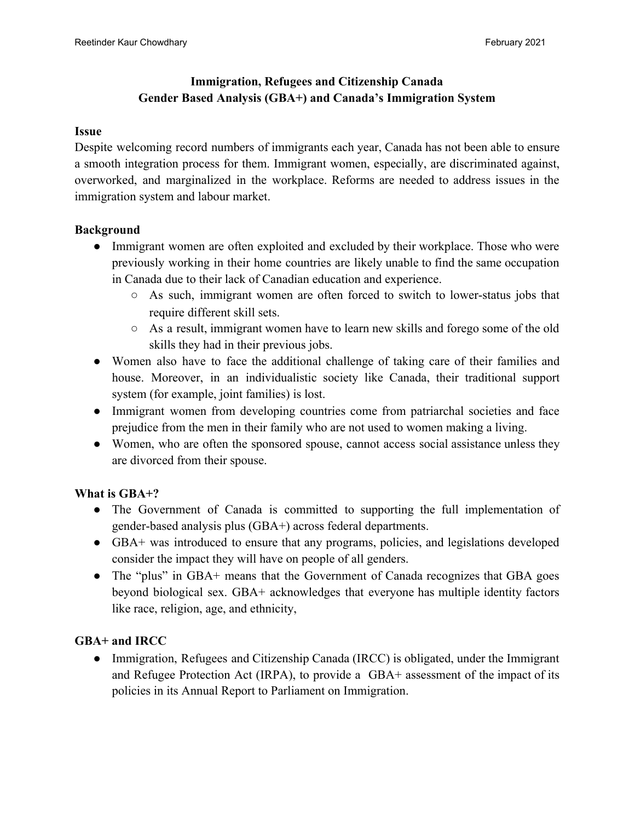# **Immigration, Refugees and Citizenship Canada Gender Based Analysis (GBA+) and Canada's Immigration System**

#### **Issue**

Despite welcoming record numbers of immigrants each year, Canada has not been able to ensure a smooth integration process for them. Immigrant women, especially, are discriminated against, overworked, and marginalized in the workplace. Reforms are needed to address issues in the immigration system and labour market.

#### **Background**

- Immigrant women are often exploited and excluded by their workplace. Those who were previously working in their home countries are likely unable to find the same occupation in Canada due to their lack of Canadian education and experience.
	- As such, immigrant women are often forced to switch to lower-status jobs that require different skill sets.
	- As a result, immigrant women have to learn new skills and forego some of the old skills they had in their previous jobs.
- Women also have to face the additional challenge of taking care of their families and house. Moreover, in an individualistic society like Canada, their traditional support system (for example, joint families) is lost.
- Immigrant women from developing countries come from patriarchal societies and face prejudice from the men in their family who are not used to women making a living.
- Women, who are often the sponsored spouse, cannot access social assistance unless they are divorced from their spouse.

#### **What is GBA+?**

- The Government of Canada is committed to supporting the full implementation of gender-based analysis plus (GBA+) across federal departments.
- GBA+ was introduced to ensure that any programs, policies, and legislations developed consider the impact they will have on people of all genders.
- The "plus" in GBA+ means that the Government of Canada recognizes that GBA goes beyond biological sex. GBA+ acknowledges that everyone has multiple identity factors like race, religion, age, and ethnicity,

## **GBA+ and IRCC**

• Immigration, Refugees and Citizenship Canada (IRCC) is obligated, under the Immigrant and Refugee Protection Act (IRPA), to provide a GBA+ assessment of the impact of its policies in its Annual Report to Parliament on Immigration.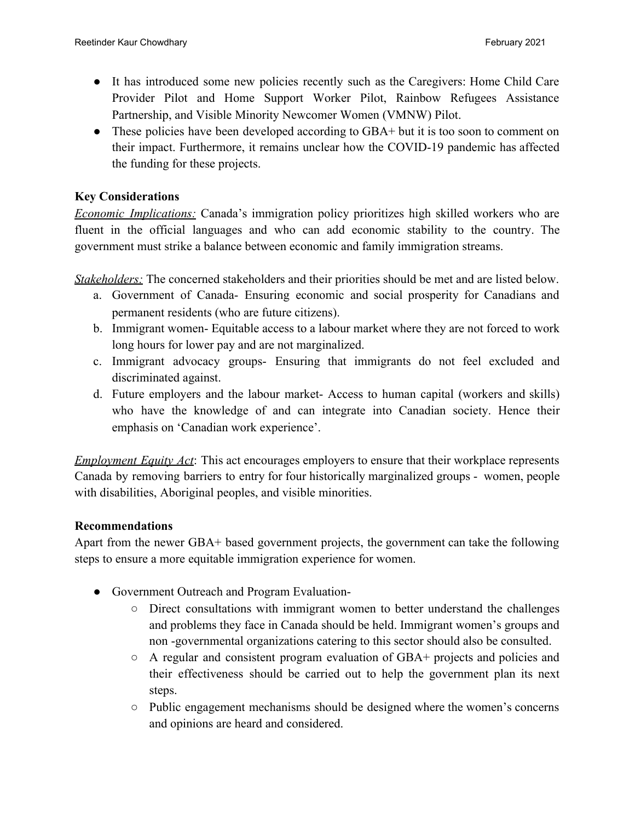- It has introduced some new policies recently such as the Caregivers: Home Child Care Provider Pilot and Home Support Worker Pilot, Rainbow Refugees Assistance Partnership, and Visible Minority Newcomer Women (VMNW) Pilot.
- These policies have been developed according to GBA+ but it is too soon to comment on their impact. Furthermore, it remains unclear how the COVID-19 pandemic has affected the funding for these projects.

### **Key Considerations**

*Economic Implications:* Canada's immigration policy prioritizes high skilled workers who are fluent in the official languages and who can add economic stability to the country. The government must strike a balance between economic and family immigration streams.

*Stakeholders:* The concerned stakeholders and their priorities should be met and are listed below.

- a. Government of Canada- Ensuring economic and social prosperity for Canadians and permanent residents (who are future citizens).
- b. Immigrant women- Equitable access to a labour market where they are not forced to work long hours for lower pay and are not marginalized.
- c. Immigrant advocacy groups- Ensuring that immigrants do not feel excluded and discriminated against.
- d. Future employers and the labour market- Access to human capital (workers and skills) who have the knowledge of and can integrate into Canadian society. Hence their emphasis on 'Canadian work experience'.

*Employment Equity Act*: This act encourages employers to ensure that their workplace represents Canada by removing barriers to entry for four historically marginalized groups - women, people with disabilities, Aboriginal peoples, and visible minorities.

#### **Recommendations**

Apart from the newer GBA+ based government projects, the government can take the following steps to ensure a more equitable immigration experience for women.

- Government Outreach and Program Evaluation-
	- Direct consultations with immigrant women to better understand the challenges and problems they face in Canada should be held. Immigrant women's groups and non -governmental organizations catering to this sector should also be consulted.
	- A regular and consistent program evaluation of GBA+ projects and policies and their effectiveness should be carried out to help the government plan its next steps.
	- Public engagement mechanisms should be designed where the women's concerns and opinions are heard and considered.